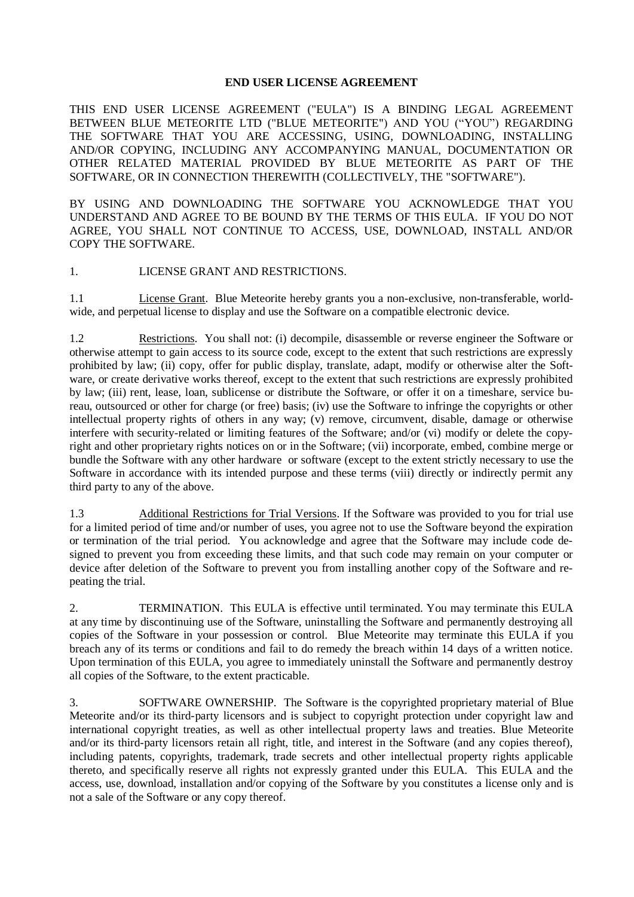## **END USER LICENSE AGREEMENT**

THIS END USER LICENSE AGREEMENT ("EULA") IS A BINDING LEGAL AGREEMENT BETWEEN BLUE METEORITE LTD ("BLUE METEORITE") AND YOU ("YOU") REGARDING THE SOFTWARE THAT YOU ARE ACCESSING, USING, DOWNLOADING, INSTALLING AND/OR COPYING, INCLUDING ANY ACCOMPANYING MANUAL, DOCUMENTATION OR OTHER RELATED MATERIAL PROVIDED BY BLUE METEORITE AS PART OF THE SOFTWARE, OR IN CONNECTION THEREWITH (COLLECTIVELY, THE "SOFTWARE").

BY USING AND DOWNLOADING THE SOFTWARE YOU ACKNOWLEDGE THAT YOU UNDERSTAND AND AGREE TO BE BOUND BY THE TERMS OF THIS EULA. IF YOU DO NOT AGREE, YOU SHALL NOT CONTINUE TO ACCESS, USE, DOWNLOAD, INSTALL AND/OR COPY THE SOFTWARE.

## 1. LICENSE GRANT AND RESTRICTIONS.

1.1 License Grant. Blue Meteorite hereby grants you a non-exclusive, non-transferable, worldwide, and perpetual license to display and use the Software on a compatible electronic device.

1.2 Restrictions. You shall not: (i) decompile, disassemble or reverse engineer the Software or otherwise attempt to gain access to its source code, except to the extent that such restrictions are expressly prohibited by law; (ii) copy, offer for public display, translate, adapt, modify or otherwise alter the Software, or create derivative works thereof, except to the extent that such restrictions are expressly prohibited by law; (iii) rent, lease, loan, sublicense or distribute the Software, or offer it on a timeshare, service bureau, outsourced or other for charge (or free) basis; (iv) use the Software to infringe the copyrights or other intellectual property rights of others in any way; (v) remove, circumvent, disable, damage or otherwise interfere with security-related or limiting features of the Software; and/or (vi) modify or delete the copyright and other proprietary rights notices on or in the Software; (vii) incorporate, embed, combine merge or bundle the Software with any other hardware or software (except to the extent strictly necessary to use the Software in accordance with its intended purpose and these terms (viii) directly or indirectly permit any third party to any of the above.

1.3 Additional Restrictions for Trial Versions. If the Software was provided to you for trial use for a limited period of time and/or number of uses, you agree not to use the Software beyond the expiration or termination of the trial period. You acknowledge and agree that the Software may include code designed to prevent you from exceeding these limits, and that such code may remain on your computer or device after deletion of the Software to prevent you from installing another copy of the Software and repeating the trial.

2. TERMINATION. This EULA is effective until terminated. You may terminate this EULA at any time by discontinuing use of the Software, uninstalling the Software and permanently destroying all copies of the Software in your possession or control. Blue Meteorite may terminate this EULA if you breach any of its terms or conditions and fail to do remedy the breach within 14 days of a written notice. Upon termination of this EULA, you agree to immediately uninstall the Software and permanently destroy all copies of the Software, to the extent practicable.

3. SOFTWARE OWNERSHIP. The Software is the copyrighted proprietary material of Blue Meteorite and/or its third-party licensors and is subject to copyright protection under copyright law and international copyright treaties, as well as other intellectual property laws and treaties. Blue Meteorite and/or its third-party licensors retain all right, title, and interest in the Software (and any copies thereof), including patents, copyrights, trademark, trade secrets and other intellectual property rights applicable thereto, and specifically reserve all rights not expressly granted under this EULA. This EULA and the access, use, download, installation and/or copying of the Software by you constitutes a license only and is not a sale of the Software or any copy thereof.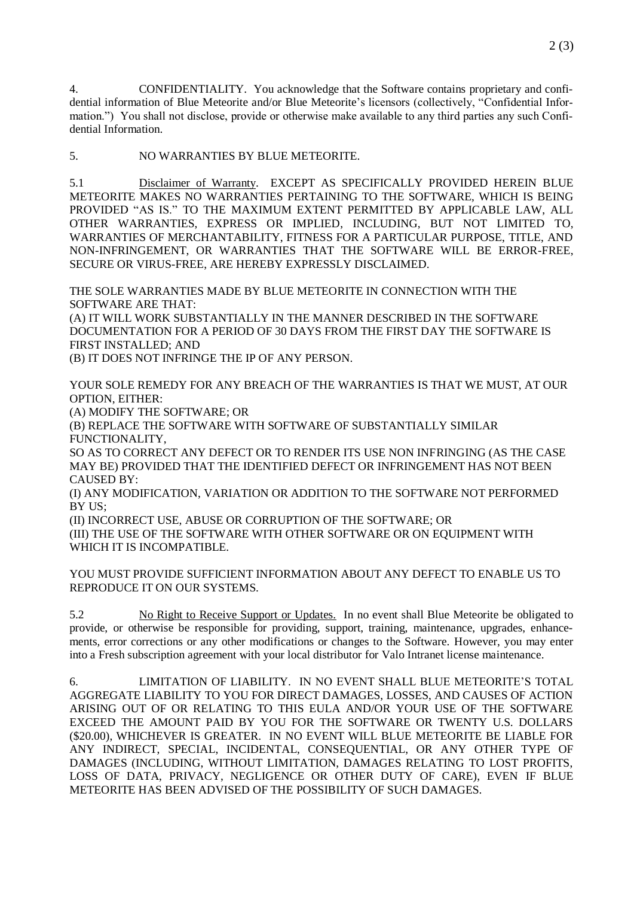4. CONFIDENTIALITY. You acknowledge that the Software contains proprietary and confidential information of Blue Meteorite and/or Blue Meteorite's licensors (collectively, "Confidential Information.") You shall not disclose, provide or otherwise make available to any third parties any such Confidential Information.

5. NO WARRANTIES BY BLUE METEORITE.

5.1 Disclaimer of Warranty. EXCEPT AS SPECIFICALLY PROVIDED HEREIN BLUE METEORITE MAKES NO WARRANTIES PERTAINING TO THE SOFTWARE, WHICH IS BEING PROVIDED "AS IS." TO THE MAXIMUM EXTENT PERMITTED BY APPLICABLE LAW, ALL OTHER WARRANTIES, EXPRESS OR IMPLIED, INCLUDING, BUT NOT LIMITED TO, WARRANTIES OF MERCHANTABILITY, FITNESS FOR A PARTICULAR PURPOSE, TITLE, AND NON-INFRINGEMENT, OR WARRANTIES THAT THE SOFTWARE WILL BE ERROR-FREE, SECURE OR VIRUS-FREE, ARE HEREBY EXPRESSLY DISCLAIMED.

THE SOLE WARRANTIES MADE BY BLUE METEORITE IN CONNECTION WITH THE SOFTWARE ARE THAT:

(A) IT WILL WORK SUBSTANTIALLY IN THE MANNER DESCRIBED IN THE SOFTWARE DOCUMENTATION FOR A PERIOD OF 30 DAYS FROM THE FIRST DAY THE SOFTWARE IS FIRST INSTALLED; AND

(B) IT DOES NOT INFRINGE THE IP OF ANY PERSON.

YOUR SOLE REMEDY FOR ANY BREACH OF THE WARRANTIES IS THAT WE MUST, AT OUR OPTION, EITHER:

(A) MODIFY THE SOFTWARE; OR

(B) REPLACE THE SOFTWARE WITH SOFTWARE OF SUBSTANTIALLY SIMILAR FUNCTIONALITY,

SO AS TO CORRECT ANY DEFECT OR TO RENDER ITS USE NON INFRINGING (AS THE CASE MAY BE) PROVIDED THAT THE IDENTIFIED DEFECT OR INFRINGEMENT HAS NOT BEEN CAUSED BY:

(I) ANY MODIFICATION, VARIATION OR ADDITION TO THE SOFTWARE NOT PERFORMED BY US;

(II) INCORRECT USE, ABUSE OR CORRUPTION OF THE SOFTWARE; OR (III) THE USE OF THE SOFTWARE WITH OTHER SOFTWARE OR ON EQUIPMENT WITH WHICH IT IS INCOMPATIBLE.

YOU MUST PROVIDE SUFFICIENT INFORMATION ABOUT ANY DEFECT TO ENABLE US TO REPRODUCE IT ON OUR SYSTEMS.

5.2 No Right to Receive Support or Updates. In no event shall Blue Meteorite be obligated to provide, or otherwise be responsible for providing, support, training, maintenance, upgrades, enhancements, error corrections or any other modifications or changes to the Software. However, you may enter into a Fresh subscription agreement with your local distributor for Valo Intranet license maintenance.

6. LIMITATION OF LIABILITY. IN NO EVENT SHALL BLUE METEORITE'S TOTAL AGGREGATE LIABILITY TO YOU FOR DIRECT DAMAGES, LOSSES, AND CAUSES OF ACTION ARISING OUT OF OR RELATING TO THIS EULA AND/OR YOUR USE OF THE SOFTWARE EXCEED THE AMOUNT PAID BY YOU FOR THE SOFTWARE OR TWENTY U.S. DOLLARS (\$20.00), WHICHEVER IS GREATER. IN NO EVENT WILL BLUE METEORITE BE LIABLE FOR ANY INDIRECT, SPECIAL, INCIDENTAL, CONSEQUENTIAL, OR ANY OTHER TYPE OF DAMAGES (INCLUDING, WITHOUT LIMITATION, DAMAGES RELATING TO LOST PROFITS, LOSS OF DATA, PRIVACY, NEGLIGENCE OR OTHER DUTY OF CARE), EVEN IF BLUE METEORITE HAS BEEN ADVISED OF THE POSSIBILITY OF SUCH DAMAGES.